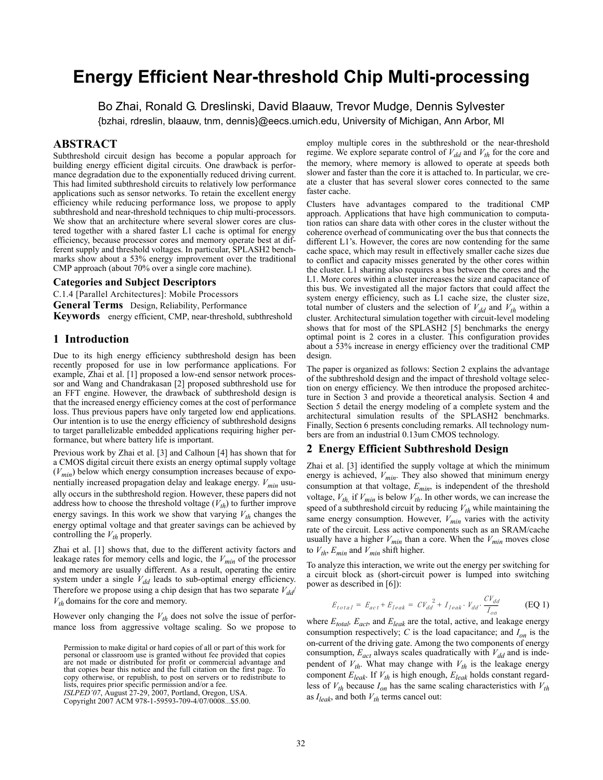# **Energy Efficient Near-threshold Chip Multi-processing**

Bo Zhai, Ronald G. Dreslinski, David Blaauw, Trevor Mudge, Dennis Sylvester

{bzhai, rdreslin, blaauw, tnm, dennis}@eecs.umich.edu, University of Michigan, Ann Arbor, MI

# **ABSTRACT**

Subthreshold circuit design has become a popular approach for building energy efficient digital circuits. One drawback is performance degradation due to the exponentially reduced driving current. This had limited subthreshold circuits to relatively low performance applications such as sensor networks. To retain the excellent energy efficiency while reducing performance loss, we propose to apply subthreshold and near-threshold techniques to chip multi-processors. We show that an architecture where several slower cores are clustered together with a shared faster L1 cache is optimal for energy efficiency, because processor cores and memory operate best at different supply and threshold voltages. In particular, SPLASH2 benchmarks show about a 53% energy improvement over the traditional CMP approach (about 70% over a single core machine).

## **Categories and Subject Descriptors**

C.1.4 [Parallel Architectures]: Mobile Processors

**General Terms** Design, Reliability, Performance

**Keywords** energy efficient, CMP, near-threshold, subthreshold

## **1 Introduction**

Due to its high energy efficiency subthreshold design has been recently proposed for use in low performance applications. For example, Zhai et al. [1] proposed a low-end sensor network processor and Wang and Chandrakasan [2] proposed subthreshold use for an FFT engine. However, the drawback of subthreshold design is that the increased energy efficiency comes at the cost of performance loss. Thus previous papers have only targeted low end applications. Our intention is to use the energy efficiency of subthreshold designs to target parallelizable embedded applications requiring higher performance, but where battery life is important.

Previous work by Zhai et al. [3] and Calhoun [4] has shown that for a CMOS digital circuit there exists an energy optimal supply voltage (*Vmin*) below which energy consumption increases because of exponentially increased propagation delay and leakage energy.  $V_{min}$  usually occurs in the subthreshold region. However, these papers did not address how to choose the threshold voltage  $(V_{th})$  to further improve energy savings. In this work we show that varying  $V_{th}$  changes the energy optimal voltage and that greater savings can be achieved by controlling the  $V_{th}$  properly.

Zhai et al. [1] shows that, due to the different activity factors and leakage rates for memory cells and logic, the *Vmin* of the processor and memory are usually different. As a result, operating the entire system under a single  $V_{dd}$  leads to sub-optimal energy efficiency. Therefore we propose using a chip design that has two separate  $V_{dd}$  $V_{th}$  domains for the core and memory.

However only changing the  $V_{th}$  does not solve the issue of performance loss from aggressive voltage scaling. So we propose to

*ISLPED'07*, August 27-29, 2007, Portland, Oregon, USA.

employ multiple cores in the subthreshold or the near-threshold regime. We explore separate control of  $V_{dd}$  and  $V_{th}$  for the core and the memory, where memory is allowed to operate at speeds both slower and faster than the core it is attached to. In particular, we create a cluster that has several slower cores connected to the same faster cache.

Clusters have advantages compared to the traditional CMP approach. Applications that have high communication to computation ratios can share data with other cores in the cluster without the coherence overhead of communicating over the bus that connects the different L1's. However, the cores are now contending for the same cache space, which may result in effectively smaller cache sizes due to conflict and capacity misses generated by the other cores within the cluster. L1 sharing also requires a bus between the cores and the L1. More cores within a cluster increases the size and capacitance of this bus. We investigated all the major factors that could affect the system energy efficiency, such as L1 cache size, the cluster size, total number of clusters and the selection of  $V_{dd}$  and  $V_{th}$  within a cluster. Architectural simulation together with circuit-level modeling shows that for most of the SPLASH2 [5] benchmarks the energy optimal point is 2 cores in a cluster. This configuration provides about a 53% increase in energy efficiency over the traditional CMP design.

The paper is organized as follows: Section 2 explains the advantage of the subthreshold design and the impact of threshold voltage selection on energy efficiency. We then introduce the proposed architecture in Section 3 and provide a theoretical analysis. Section 4 and Section 5 detail the energy modeling of a complete system and the architectural simulation results of the SPLASH2 benchmarks. Finally, Section 6 presents concluding remarks. All technology numbers are from an industrial 0.13um CMOS technology.

## **2 Energy Efficient Subthreshold Design**

Zhai et al. [3] identified the supply voltage at which the minimum energy is achieved, *Vmin*. They also showed that minimum energy consumption at that voltage, *Emin*, is independent of the threshold voltage,  $V_{th}$ , if  $V_{min}$  is below  $V_{th}$ . In other words, we can increase the speed of a subthreshold circuit by reducing  $V_{th}$  while maintaining the same energy consumption. However,  $V_{min}$  varies with the activity rate of the circuit. Less active components such as an SRAM/cache usually have a higher  $V_{min}$  than a core. When the  $V_{min}$  moves close to  $V_{th}$ ,  $E_{min}$  and  $V_{min}$  shift higher.

To analyze this interaction, we write out the energy per switching for a circuit block as (short-circuit power is lumped into switching power as described in [6]):

$$
E_{total} = E_{act} + E_{leak} = CV_{dd}^2 + I_{leak} \cdot V_{dd} \cdot \frac{CV_{dd}}{I_{on}}
$$
 (EQ1)

where  $E_{total}$ ,  $E_{act}$ , and  $E_{leak}$  are the total, active, and leakage energy consumption respectively;  $C$  is the load capacitance; and  $I_{on}$  is the on-current of the driving gate. Among the two components of energy consumption,  $E_{act}$  always scales quadratically with  $V_{dd}$  and is independent of  $V_{th}$ . What may change with  $V_{th}$  is the leakage energy component  $E_{leak}$ . If  $V_{th}$  is high enough,  $E_{leak}$  holds constant regardless of  $V_{th}$  because  $I_{on}$  has the same scaling characteristics with  $V_{th}$ as  $I_{leak}$ , and both  $V_{th}$  terms cancel out:

Permission to make digital or hard copies of all or part of this work for personal or classroom use is granted without fee provided that copies are not made or distributed for profit or commercial advantage and that copies bear this notice and the full citation on the first page. To copy otherwise, or republish, to post on servers or to redistribute to lists, requires prior specific permission and/or a fee.

Copyright 2007 ACM 978-1-59593-709-4/07/0008...\$5.00.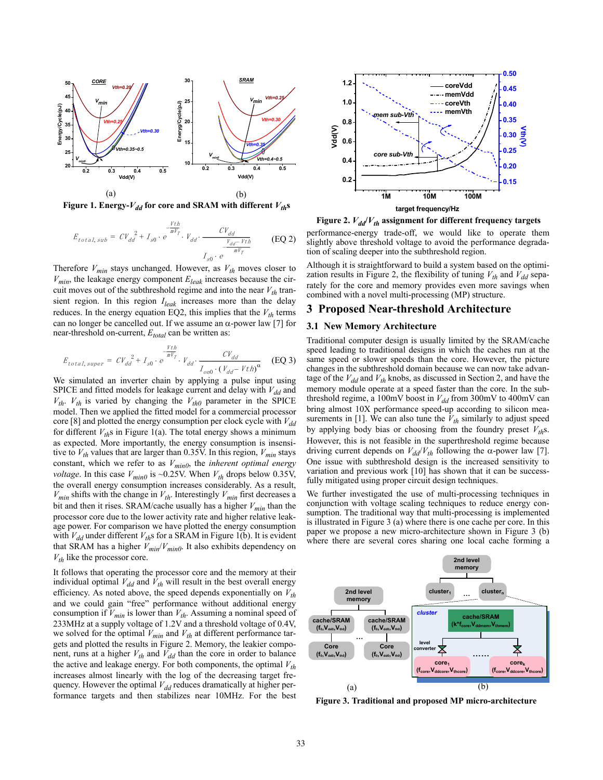

**Figure 1. Energy-** $V_{dd}$  **for core and SRAM with different**  $V_{th}$ **s** 

$$
E_{total,sub} = CV_{dd}^2 + I_{s0} \cdot e^{-\frac{Vth}{mV_r}} \cdot V_{dd} \cdot \frac{CV_{dd}}{\frac{V_{dd} - Vth}{mV_r}}
$$
(EQ2)

Therefore  $V_{min}$  stays unchanged. However, as  $V_{th}$  moves closer to  $V_{min}$ , the leakage energy component  $E_{leak}$  increases because the circuit moves out of the subthreshold regime and into the near  $V_{th}$  transient region. In this region *Ileak* increases more than the delay reduces. In the energy equation EQ2, this implies that the  $V_{th}$  terms can no longer be cancelled out. If we assume an  $\alpha$ -power law [7] for near-threshold on-current,  $E_{total}$  can be written as:

$$
E_{total, super} = CV_{dd}^2 + I_{s0} \cdot e^{-\frac{Vth}{mV_T}} \cdot V_{dd} \cdot \frac{CV_{dd}}{I_{on0} \cdot (V_{dd} - Vth)^{\alpha}}
$$
 (EQ 3)

We simulated an inverter chain by applying a pulse input using SPICE and fitted models for leakage current and delay with  $V_{dd}$  and  $V_{th}$ .  $V_{th}$  is varied by changing the  $V_{th0}$  parameter in the SPICE model. Then we applied the fitted model for a commercial processor core [8] and plotted the energy consumption per clock cycle with  $V_{dd}$ for different  $V_{th}$ s in Figure 1(a). The total energy shows a minimum as expected. More importantly, the energy consumption is insensitive to  $V_{th}$  values that are larger than 0.35V. In this region,  $V_{min}$  stays constant, which we refer to as *Vmin0*, the *inherent optimal energy voltage*. In this case  $V_{min0}$  is ~0.25V. When  $V_{th}$  drops below 0.35V, the overall energy consumption increases considerably. As a result,  $V_{min}$  shifts with the change in  $V_{th}$ . Interestingly  $V_{min}$  first decreases a bit and then it rises. SRAM/cache usually has a higher  $V_{min}$  than the processor core due to the lower activity rate and higher relative leakage power. For comparison we have plotted the energy consumption with  $V_{dd}$  under different  $V_{th}$ s for a SRAM in Figure 1(b). It is evident that SRAM has a higher  $V_{min}/V_{min0}$ . It also exhibits dependency on  $V_{th}$  like the processor core.

It follows that operating the processor core and the memory at their individual optimal  $V_{dd}$  and  $\bar{V}_{th}$  will result in the best overall energy efficiency. As noted above, the speed depends exponentially on  $V_{th}$ and we could gain "free" performance without additional energy consumption if  $V_{min}$  is lower than  $V_{th}$ . Assuming a nominal speed of 233MHz at a supply voltage of 1.2V and a threshold voltage of 0.4V, we solved for the optimal  $V_{min}$  and  $V_{th}$  at different performance targets and plotted the results in Figure 2. Memory, the leakier component, runs at a higher  $V_{th}$  and  $\overline{V}_{dd}$  than the core in order to balance the active and leakage energy. For both components, the optimal  $V_{th}$ increases almost linearly with the log of the decreasing target frequency. However the optimal  $V_{dd}$  reduces dramatically at higher performance targets and then stabilizes near 10MHz. For the best



performance-energy trade-off, we would like to operate them slightly above threshold voltage to avoid the performance degradation of scaling deeper into the subthreshold region. **Figure 2.**  $V_{dd}/V_{th}$  assignment for different frequency targets

Although it is straightforward to build a system based on the optimization results in Figure 2, the flexibility of tuning  $V_{th}$  and  $V_{dd}$  separately for the core and memory provides even more savings when combined with a novel multi-processing (MP) structure.

## **3 Proposed Near-threshold Architecture**

#### **3.1 New Memory Architecture**

Traditional computer design is usually limited by the SRAM/cache speed leading to traditional designs in which the caches run at the same speed or slower speeds than the core. However, the picture changes in the subthreshold domain because we can now take advantage of the  $V_{dd}$  and  $V_{th}$  knobs, as discussed in Section 2, and have the memory module operate at a speed faster than the core. In the subthreshold regime, a 100mV boost in  $V_{dd}$  from 300mV to 400mV can bring almost 10X performance speed-up according to silicon measurements in [1]. We can also tune the  $V_{th}$  similarly to adjust speed by applying body bias or choosing from the foundry preset  $V_{th}$ s. However, this is not feasible in the superthreshold regime because driving current depends on  $V_{dd}/V_{th}$  following the  $\alpha$ -power law [7]. One issue with subthreshold design is the increased sensitivity to variation and previous work [10] has shown that it can be successfully mitigated using proper circuit design techniques.

We further investigated the use of multi-processing techniques in conjunction with voltage scaling techniques to reduce energy consumption. The traditional way that multi-processing is implemented is illustrated in Figure 3 (a) where there is one cache per core. In this paper we propose a new micro-architecture shown in Figure 3 (b) where there are several cores sharing one local cache forming a



**Figure 3. Traditional and proposed MP micro-architecture**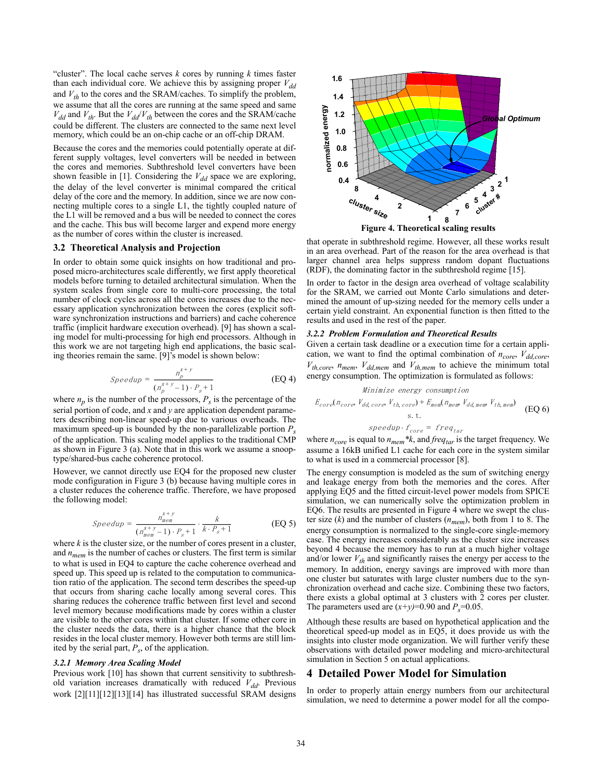"cluster". The local cache serves  $k$  cores by running  $k$  times faster than each individual core. We achieve this by assigning proper  $V_{dd}$ and  $V_{th}$  to the cores and the SRAM/caches. To simplify the problem, we assume that all the cores are running at the same speed and same  $V_{dd}$  and  $V_{th}$ . But the  $V_{dd}/V_{th}$  between the cores and the SRAM/cache could be different. The clusters are connected to the same next level memory, which could be an on-chip cache or an off-chip DRAM.

Because the cores and the memories could potentially operate at different supply voltages, level converters will be needed in between the cores and memories. Subthreshold level converters have been shown feasible in [1]. Considering the  $V_{dd}$  space we are exploring, the delay of the level converter is minimal compared the critical delay of the core and the memory. In addition, since we are now connecting multiple cores to a single L1, the tightly coupled nature of the L1 will be removed and a bus will be needed to connect the cores and the cache. This bus will become larger and expend more energy as the number of cores within the cluster is increased.

#### **3.2 Theoretical Analysis and Projection**

In order to obtain some quick insights on how traditional and proposed micro-architectures scale differently, we first apply theoretical models before turning to detailed architectural simulation. When the system scales from single core to multi-core processing, the total number of clock cycles across all the cores increases due to the necessary application synchronization between the cores (explicit software synchronization instructions and barriers) and cache coherence traffic (implicit hardware execution overhead). [9] has shown a scaling model for multi-processing for high end processors. Although in this work we are not targeting high end applications, the basic scaling theories remain the same. [9]'s model is shown below:

$$
Speedup = \frac{n_p^{x+y}}{(n_p^{x+y} - 1) \cdot P_s + 1}
$$
 (EQ4)

where  $n_p$  is the number of the processors,  $P_s$  is the percentage of the serial portion of code, and *x* and *y* are application dependent parameters describing non-linear speed-up due to various overheads. The maximum speed-up is bounded by the non-parallelizable portion  $P_s$ of the application. This scaling model applies to the traditional CMP as shown in Figure 3 (a). Note that in this work we assume a snooptype/shared-bus cache coherence protocol.

However, we cannot directly use EQ4 for the proposed new cluster mode configuration in Figure 3 (b) because having multiple cores in a cluster reduces the coherence traffic. Therefore, we have proposed the following model:

*Speedup* = 
$$
\frac{n_{mem}^{x+y}}{(n_{mem}^{x+y}-1) \cdot P_s + 1} \cdot \frac{k}{k \cdot P_s + 1}
$$
 (EQ 5)

where  $k$  is the cluster size, or the number of cores present in a cluster, and  $n_{mem}$  is the number of caches or clusters. The first term is similar to what is used in EQ4 to capture the cache coherence overhead and speed up. This speed up is related to the computation to communication ratio of the application. The second term describes the speed-up that occurs from sharing cache locally among several cores. This sharing reduces the coherence traffic between first level and second level memory because modifications made by cores within a cluster are visible to the other cores within that cluster. If some other core in the cluster needs the data, there is a higher chance that the block resides in the local cluster memory. However both terms are still limited by the serial part,  $P_s$ , of the application.

#### *3.2.1 Memory Area Scaling Model*

Previous work [10] has shown that current sensitivity to subthreshold variation increases dramatically with reduced  $V_{dd}$ . Previous work [2][11][12][13][14] has illustrated successful SRAM designs



that operate in subthreshold regime. However, all these works result in an area overhead. Part of the reason for the area overhead is that larger channel area helps suppress random dopant fluctuations (RDF), the dominating factor in the subthreshold regime [15].

In order to factor in the design area overhead of voltage scalability for the SRAM, we carried out Monte Carlo simulations and determined the amount of up-sizing needed for the memory cells under a certain yield constraint. An exponential function is then fitted to the results and used in the rest of the paper.

#### *3.2.2 Problem Formulation and Theoretical Results*

Given a certain task deadline or a execution time for a certain application, we want to find the optimal combination of  $n_{core}$ ,  $V_{dd,core}$ ,  $V_{th,core}$ ,  $n_{mem}$ ,  $V_{dd,mem}$  and  $V_{th,mem}$  to achieve the minimum total energy consumption. The optimization is formulated as follows:

Minimize energy consumption  
\n
$$
E_{core}(n_{core} V_{dd,core} V_{th,core}) + E_{mem}(n_{mem} V_{dd,mem} V_{th,mem})
$$
\n
$$
s.t.
$$
\n
$$
speedup \cdot f_{core} = freq_{tar}
$$
\n(EQ 6)

where  $n_{core}$  is equal to  $n_{mem} * k$ , and *freq<sub>tar</sub>* is the target frequency. We assume a 16kB unified L1 cache for each core in the system similar to what is used in a commercial processor [8].

The energy consumption is modeled as the sum of switching energy and leakage energy from both the memories and the cores. After applying EQ5 and the fitted circuit-level power models from SPICE simulation, we can numerically solve the optimization problem in EQ6. The results are presented in Figure 4 where we swept the cluster size (*k*) and the number of clusters (*nmem*), both from 1 to 8. The energy consumption is normalized to the single-core single-memory case. The energy increases considerably as the cluster size increases beyond 4 because the memory has to run at a much higher voltage and/or lower  $V_{th}$  and significantly raises the energy per access to the memory. In addition, energy savings are improved with more than one cluster but saturates with large cluster numbers due to the synchronization overhead and cache size. Combining these two factors, there exists a global optimal at 3 clusters with 2 cores per cluster. The parameters used are  $(x+y)=0.90$  and  $P_s=0.05$ .

Although these results are based on hypothetical application and the theoretical speed-up model as in EQ5, it does provide us with the insights into cluster mode organization. We will further verify these observations with detailed power modeling and micro-architectural simulation in Section 5 on actual applications.

## **4 Detailed Power Model for Simulation**

In order to properly attain energy numbers from our architectural simulation, we need to determine a power model for all the compo-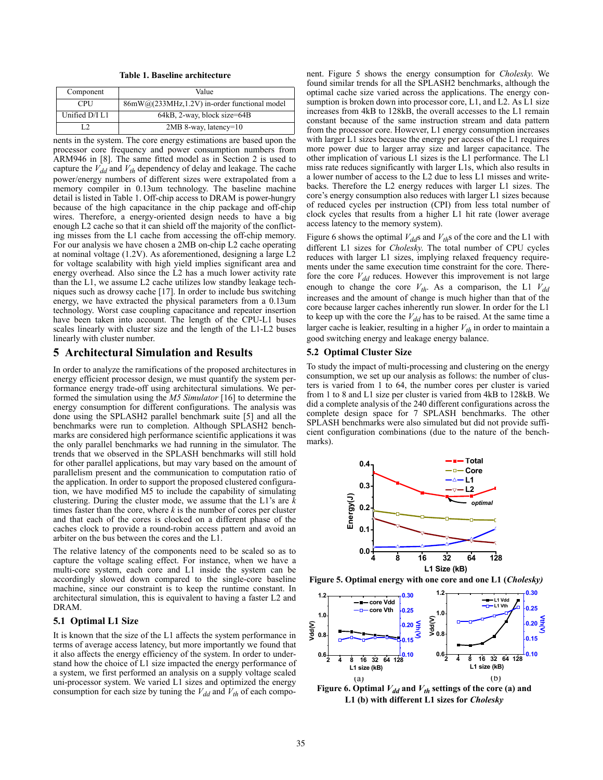**Table 1. Baseline architecture**

| Component      | Value                                        |
|----------------|----------------------------------------------|
| <b>CPU</b>     | 86mW@(233MHz,1.2V) in-order functional model |
| Unified D/I L1 | 64kB, 2-way, block size=64B                  |
|                | $2MB$ 8-way, latency=10                      |

nents in the system. The core energy estimations are based upon the processor core frequency and power consumption numbers from ARM946 in [8]. The same fitted model as in Section 2 is used to capture the  $V_{dd}$  and  $V_{th}$  dependency of delay and leakage. The cache power/energy numbers of different sizes were extrapolated from a memory compiler in 0.13um technology. The baseline machine detail is listed in Table 1. Off-chip access to DRAM is power-hungry because of the high capacitance in the chip package and off-chip wires. Therefore, a energy-oriented design needs to have a big enough L2 cache so that it can shield off the majority of the conflicting misses from the L1 cache from accessing the off-chip memory. For our analysis we have chosen a 2MB on-chip L2 cache operating at nominal voltage (1.2V). As aforementioned, designing a large L2 for voltage scalability with high yield implies significant area and energy overhead. Also since the L2 has a much lower activity rate than the L1, we assume L2 cache utilizes low standby leakage techniques such as drowsy cache [17]. In order to include bus switching energy, we have extracted the physical parameters from a 0.13um technology. Worst case coupling capacitance and repeater insertion have been taken into account. The length of the CPU-L1 buses scales linearly with cluster size and the length of the L1-L2 buses linearly with cluster number.

## **5 Architectural Simulation and Results**

In order to analyze the ramifications of the proposed architectures in energy efficient processor design, we must quantify the system performance energy trade-off using architectural simulations. We performed the simulation using the *M5 Simulator* [16] to determine the energy consumption for different configurations. The analysis was done using the SPLASH2 parallel benchmark suite [5] and all the benchmarks were run to completion. Although SPLASH2 benchmarks are considered high performance scientific applications it was the only parallel benchmarks we had running in the simulator. The trends that we observed in the SPLASH benchmarks will still hold for other parallel applications, but may vary based on the amount of parallelism present and the communication to computation ratio of the application. In order to support the proposed clustered configuration, we have modified M5 to include the capability of simulating clustering. During the cluster mode, we assume that the L1's are *k* times faster than the core, where *k* is the number of cores per cluster and that each of the cores is clocked on a different phase of the caches clock to provide a round-robin access pattern and avoid an arbiter on the bus between the cores and the L1.

The relative latency of the components need to be scaled so as to capture the voltage scaling effect. For instance, when we have a multi-core system, each core and L1 inside the system can be accordingly slowed down compared to the single-core baseline machine, since our constraint is to keep the runtime constant. In architectural simulation, this is equivalent to having a faster L2 and DRAM.

#### **5.1 Optimal L1 Size**

It is known that the size of the L1 affects the system performance in terms of average access latency, but more importantly we found that it also affects the energy efficiency of the system. In order to understand how the choice of L1 size impacted the energy performance of a system, we first performed an analysis on a supply voltage scaled uni-processor system. We varied L1 sizes and optimized the energy consumption for each size by tuning the  $V_{dd}$  and  $V_{th}$  of each compo-

nent. Figure 5 shows the energy consumption for *Cholesky*. We found similar trends for all the SPLASH2 benchmarks, although the optimal cache size varied across the applications. The energy consumption is broken down into processor core, L1, and L2. As L1 size increases from 4kB to 128kB, the overall accesses to the L1 remain constant because of the same instruction stream and data pattern from the processor core. However, L1 energy consumption increases with larger L1 sizes because the energy per access of the L1 requires more power due to larger array size and larger capacitance. The other implication of various L1 sizes is the L1 performance. The L1 miss rate reduces significantly with larger L1s, which also results in a lower number of access to the L2 due to less L1 misses and writebacks. Therefore the L2 energy reduces with larger L1 sizes. The core's energy consumption also reduces with larger L1 sizes because of reduced cycles per instruction (CPI) from less total number of clock cycles that results from a higher L1 hit rate (lower average access latency to the memory system).

Figure 6 shows the optimal  $V_{dd}$ s and  $V_{th}$ s of the core and the L1 with different L1 sizes for *Cholesky*. The total number of CPU cycles reduces with larger L1 sizes, implying relaxed frequency requirements under the same execution time constraint for the core. Therefore the core  $V_{dd}$  reduces. However this improvement is not large enough to change the core  $V_{th}$ . As a comparison, the L1  $V_{dd}$ increases and the amount of change is much higher than that of the core because larger caches inherently run slower. In order for the L1 to keep up with the core the  $V_{dd}$  has to be raised. At the same time a larger cache is leakier, resulting in a higher  $V_{th}$  in order to maintain a good switching energy and leakage energy balance.

#### **5.2 Optimal Cluster Size**

To study the impact of multi-processing and clustering on the energy consumption, we set up our analysis as follows: the number of clusters is varied from 1 to 64, the number cores per cluster is varied from 1 to 8 and L1 size per cluster is varied from 4kB to 128kB. We did a complete analysis of the 240 different configurations across the complete design space for 7 SPLASH benchmarks. The other SPLASH benchmarks were also simulated but did not provide sufficient configuration combinations (due to the nature of the benchmarks).



**Figure 5. Optimal energy with one core and one L1 (***Cholesky)*



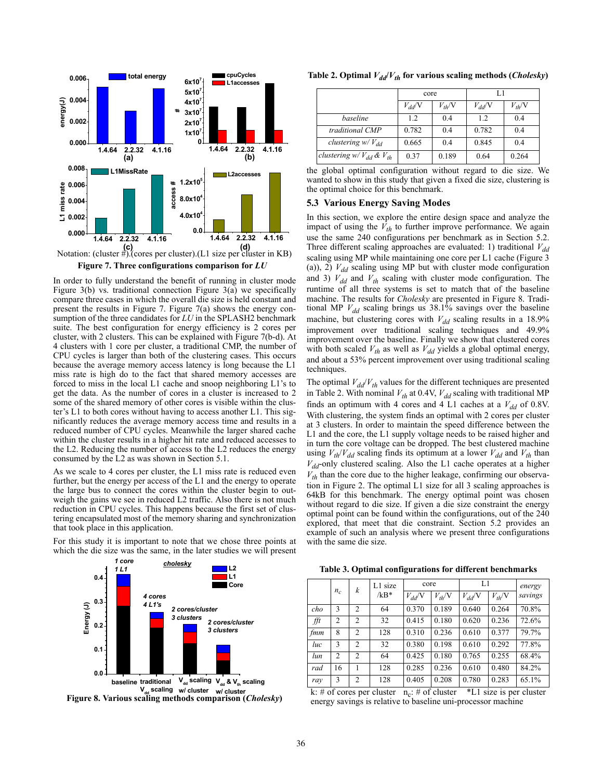

**Figure 7. Three configurations comparison for** *LU*

In order to fully understand the benefit of running in cluster mode Figure 3(b) vs. traditional connection Figure 3(a) we specifically compare three cases in which the overall die size is held constant and present the results in Figure 7. Figure 7(a) shows the energy consumption of the three candidates for *LU* in the SPLASH2 benchmark suite. The best configuration for energy efficiency is 2 cores per cluster, with 2 clusters. This can be explained with Figure 7(b-d). At 4 clusters with 1 core per cluster, a traditional CMP, the number of CPU cycles is larger than both of the clustering cases. This occurs because the average memory access latency is long because the L1 miss rate is high do to the fact that shared memory accesses are forced to miss in the local L1 cache and snoop neighboring L1's to get the data. As the number of cores in a cluster is increased to 2 some of the shared memory of other cores is visible within the cluster's L1 to both cores without having to access another L1. This significantly reduces the average memory access time and results in a reduced number of CPU cycles. Meanwhile the larger shared cache within the cluster results in a higher hit rate and reduced accesses to the L2. Reducing the number of access to the L2 reduces the energy consumed by the L2 as was shown in Section 5.1.

As we scale to 4 cores per cluster, the L1 miss rate is reduced even further, but the energy per access of the L1 and the energy to operate the large bus to connect the cores within the cluster begin to outweigh the gains we see in reduced L2 traffic. Also there is not much reduction in CPU cycles. This happens because the first set of clustering encapsulated most of the memory sharing and synchronization that took place in this application.

For this study it is important to note that we chose three points at which the die size was the same, in the later studies we will present



**Figure 8. Various scaling methods comparison (***Cholesky***)**

Table 2. Optimal  $V_{dd}/V_{th}$  for various scaling methods (*Cholesky*)

|                                         | core            |            | L1         |            |  |
|-----------------------------------------|-----------------|------------|------------|------------|--|
|                                         | $V_{dd}$ $\vee$ | $V_{th}/V$ | $V_{dd}$ N | $V_{th}/V$ |  |
| baseline                                | 1.2             | 0.4        | 1.2        | 0.4        |  |
| traditional CMP                         | 0.782           | 0.4        | 0.782      | 0.4        |  |
| clustering $w/V_{dd}$                   | 0.665           | 0.4        | 0.845      | 0.4        |  |
| <i>clustering</i> $w/V_{dd}$ & $V_{th}$ | 0.37            | 0.189      | 0.64       | 0.264      |  |

|  | the global optimal configuration without regard to die size. We         |  |  |  |  |
|--|-------------------------------------------------------------------------|--|--|--|--|
|  | wanted to show in this study that given a fixed die size, clustering is |  |  |  |  |
|  | the optimal choice for this benchmark.                                  |  |  |  |  |

## **5.3 Various Energy Saving Modes**

In this section, we explore the entire design space and analyze the impact of using the  $\hat{V}_{th}$  to further improve performance. We again use the same 240 configurations per benchmark as in Section 5.2. Three different scaling approaches are evaluated: 1) traditional  $V_{dd}$ scaling using MP while maintaining one core per L1 cache (Figure 3 (a)), 2)  $V_{dd}$  scaling using MP but with cluster mode configuration and 3)  $V_{dd}$  and  $V_{th}$  scaling with cluster mode configuration. The runtime of all three systems is set to match that of the baseline machine. The results for *Cholesky* are presented in Figure 8. Traditional MP  $V_{dd}$  scaling brings us  $38.1\%$  savings over the baseline machine, but clustering cores with  $V_{dd}$  scaling results in a 18.9% improvement over traditional scaling techniques and 49.9% improvement over the baseline. Finally we show that clustered cores with both scaled  $V_{th}$  as well as  $V_{dd}$  yields a global optimal energy, and about a 53% percent improvement over using traditional scaling techniques.

The optimal  $V_{dd}/V_{th}$  values for the different techniques are presented in Table 2. With nominal  $V_{th}$  at 0.4V,  $V_{dd}$  scaling with traditional MP finds an optimum with 4 cores and 4 L1 caches at a  $V_{dd}$  of 0.8V. With clustering, the system finds an optimal with 2 cores per cluster at 3 clusters. In order to maintain the speed difference between the L1 and the core, the L1 supply voltage needs to be raised higher and in turn the core voltage can be dropped. The best clustered machine using  $V_{th}/V_{dd}$  scaling finds its optimum at a lower  $V_{dd}$  and  $V_{th}$  than  $V_{dd}$ -only clustered scaling. Also the L1 cache operates at a higher  $V_{th}$  than the core due to the higher leakage, confirming our observation in Figure 2. The optimal L1 size for all 3 scaling approaches is 64kB for this benchmark. The energy optimal point was chosen without regard to die size. If given a die size constraint the energy optimal point can be found within the configurations, out of the 240 explored, that meet that die constraint. Section 5.2 provides an example of such an analysis where we present three configurations with the same die size.

**Table 3. Optimal configurations for different benchmarks**

|     |                | k              | L1 size<br>$/kB*$ | core            |            | L1              | energy     |         |
|-----|----------------|----------------|-------------------|-----------------|------------|-----------------|------------|---------|
|     | $n_c$          |                |                   | $V_{dd}$ $\vee$ | $V_{th}/V$ | $V_{dd}$ $\vee$ | $V_{th}/V$ | savings |
| cho | 3              | $\overline{2}$ | 64                | 0.370           | 0.189      | 0.640           | 0.264      | 70.8%   |
| fft | $\overline{2}$ | $\overline{2}$ | 32                | 0.415           | 0.180      | 0.620           | 0.236      | 72.6%   |
| fmm | 8              | $\overline{2}$ | 128               | 0.310           | 0.236      | 0.610           | 0.377      | 79.7%   |
| luc | $\mathbf{3}$   | $\overline{2}$ | 32                | 0.380           | 0.198      | 0.610           | 0.292      | 77.8%   |
| lun | $\overline{2}$ | $\overline{2}$ | 64                | 0.425           | 0.180      | 0.765           | 0.255      | 68.4%   |
| rad | 16             |                | 128               | 0.285           | 0.236      | 0.610           | 0.480      | 84.2%   |
| ray | 3              | $\overline{2}$ | 128               | 0.405           | 0.208      | 0.780           | 0.283      | 65.1%   |

k: # of cores per cluster  $n_c$ : # of cluster \*L1 size is per cluster energy savings is relative to baseline uni-processor machine